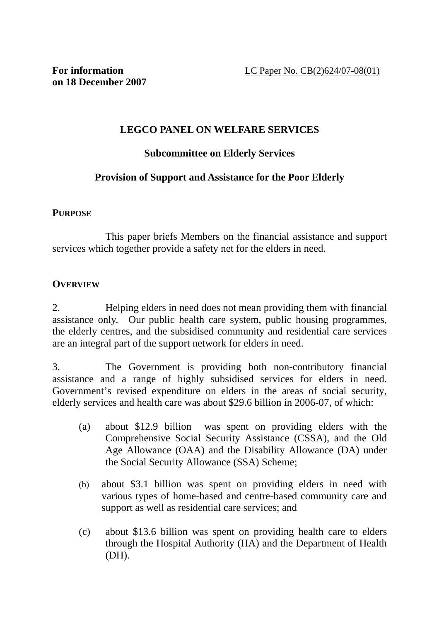## **LEGCO PANEL ON WELFARE SERVICES**

## **Subcommittee on Elderly Services**

## **Provision of Support and Assistance for the Poor Elderly**

#### **PURPOSE**

 This paper briefs Members on the financial assistance and support services which together provide a safety net for the elders in need.

#### **OVERVIEW**

2. Helping elders in need does not mean providing them with financial assistance only. Our public health care system, public housing programmes, the elderly centres, and the subsidised community and residential care services are an integral part of the support network for elders in need.

3. The Government is providing both non-contributory financial assistance and a range of highly subsidised services for elders in need. Government's revised expenditure on elders in the areas of social security, elderly services and health care was about \$29.6 billion in 2006-07, of which:

- (a) about \$12.9 billion was spent on providing elders with the Comprehensive Social Security Assistance (CSSA), and the Old Age Allowance (OAA) and the Disability Allowance (DA) under the Social Security Allowance (SSA) Scheme;
- (b) about \$3.1 billion was spent on providing elders in need with various types of home-based and centre-based community care and support as well as residential care services; and
- (c) about \$13.6 billion was spent on providing health care to elders through the Hospital Authority (HA) and the Department of Health (DH).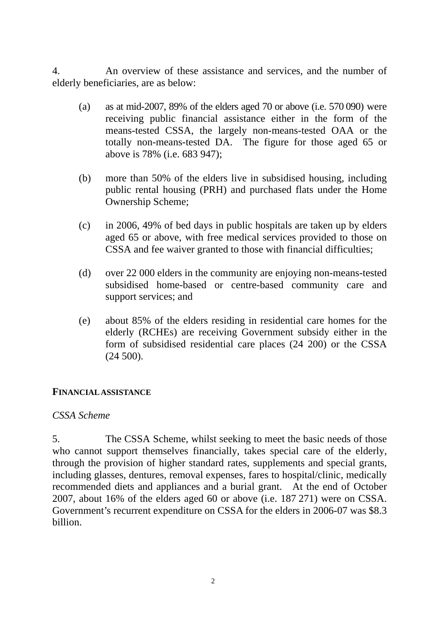4. An overview of these assistance and services, and the number of elderly beneficiaries, are as below:

- (a) as at mid-2007, 89% of the elders aged 70 or above (i.e.  $570\,090$ ) were receiving public financial assistance either in the form of the means-tested CSSA, the largely non-means-tested OAA or the totally non-means-tested DA. The figure for those aged 65 or above is 78% (i.e. 683 947);
- (b) more than 50% of the elders live in subsidised housing, including public rental housing (PRH) and purchased flats under the Home Ownership Scheme;
- (c) in 2006, 49% of bed days in public hospitals are taken up by elders aged 65 or above, with free medical services provided to those on CSSA and fee waiver granted to those with financial difficulties;
- (d) over 22 000 elders in the community are enjoying non-means-tested subsidised home-based or centre-based community care and support services; and
- (e) about 85% of the elders residing in residential care homes for the elderly (RCHEs) are receiving Government subsidy either in the form of subsidised residential care places (24 200) or the CSSA (24 500).

#### **FINANCIAL ASSISTANCE**

#### *CSSA Scheme*

5. The CSSA Scheme, whilst seeking to meet the basic needs of those who cannot support themselves financially, takes special care of the elderly, through the provision of higher standard rates, supplements and special grants, including glasses, dentures, removal expenses, fares to hospital/clinic, medically recommended diets and appliances and a burial grant. At the end of October 2007, about 16% of the elders aged 60 or above (i.e. 187 271) were on CSSA. Government's recurrent expenditure on CSSA for the elders in 2006-07 was \$8.3 billion.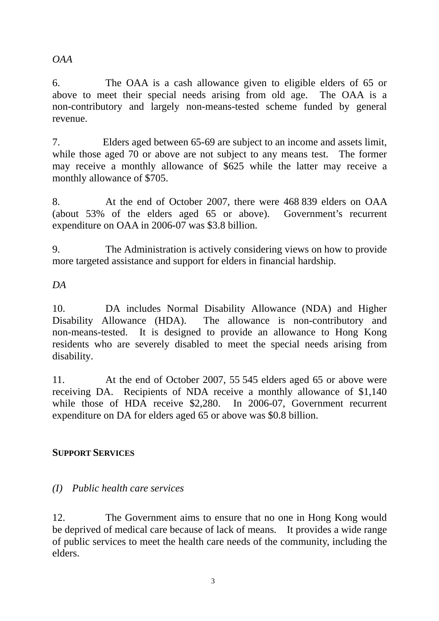*OAA* 

6. The OAA is a cash allowance given to eligible elders of 65 or above to meet their special needs arising from old age. The OAA is a non-contributory and largely non-means-tested scheme funded by general revenue.

7. Elders aged between 65-69 are subject to an income and assets limit, while those aged 70 or above are not subject to any means test. The former may receive a monthly allowance of \$625 while the latter may receive a monthly allowance of \$705.

8. At the end of October 2007, there were 468 839 elders on OAA (about 53% of the elders aged 65 or above). Government's recurrent expenditure on OAA in 2006-07 was \$3.8 billion.

9. The Administration is actively considering views on how to provide more targeted assistance and support for elders in financial hardship.

*DA* 

10. DA includes Normal Disability Allowance (NDA) and Higher Disability Allowance (HDA). The allowance is non-contributory and non-means-tested. It is designed to provide an allowance to Hong Kong residents who are severely disabled to meet the special needs arising from disability.

11. At the end of October 2007, 55 545 elders aged 65 or above were receiving DA. Recipients of NDA receive a monthly allowance of \$1,140 while those of HDA receive \$2,280. In 2006-07, Government recurrent expenditure on DA for elders aged 65 or above was \$0.8 billion.

# **SUPPORT SERVICES**

# *(I) Public health care services*

12. The Government aims to ensure that no one in Hong Kong would be deprived of medical care because of lack of means. It provides a wide range of public services to meet the health care needs of the community, including the elders.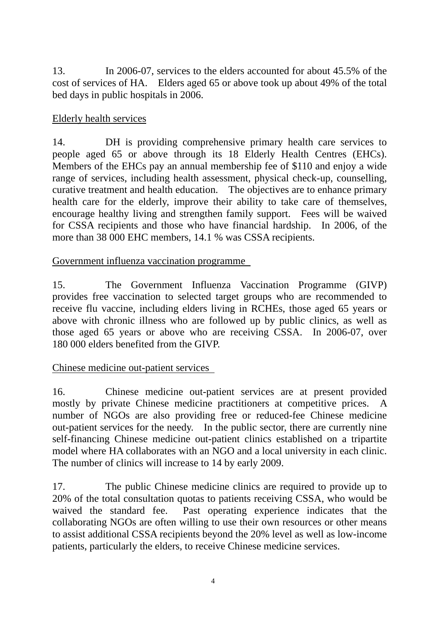13. In 2006-07, services to the elders accounted for about 45.5% of the cost of services of HA. Elders aged 65 or above took up about 49% of the total bed days in public hospitals in 2006.

### Elderly health services

14. DH is providing comprehensive primary health care services to people aged 65 or above through its 18 Elderly Health Centres (EHCs). Members of the EHCs pay an annual membership fee of \$110 and enjoy a wide range of services, including health assessment, physical check-up, counselling, curative treatment and health education. The objectives are to enhance primary health care for the elderly, improve their ability to take care of themselves, encourage healthy living and strengthen family support. Fees will be waived for CSSA recipients and those who have financial hardship. In 2006, of the more than 38 000 EHC members, 14.1 % was CSSA recipients.

#### Government influenza vaccination programme

15. The Government Influenza Vaccination Programme (GIVP) provides free vaccination to selected target groups who are recommended to receive flu vaccine, including elders living in RCHEs, those aged 65 years or above with chronic illness who are followed up by public clinics, as well as those aged 65 years or above who are receiving CSSA. In 2006-07, over 180 000 elders benefited from the GIVP.

## Chinese medicine out-patient services

16. Chinese medicine out-patient services are at present provided mostly by private Chinese medicine practitioners at competitive prices. A number of NGOs are also providing free or reduced-fee Chinese medicine out-patient services for the needy. In the public sector, there are currently nine self-financing Chinese medicine out-patient clinics established on a tripartite model where HA collaborates with an NGO and a local university in each clinic. The number of clinics will increase to 14 by early 2009.

17. The public Chinese medicine clinics are required to provide up to 20% of the total consultation quotas to patients receiving CSSA, who would be waived the standard fee. Past operating experience indicates that the collaborating NGOs are often willing to use their own resources or other means to assist additional CSSA recipients beyond the 20% level as well as low-income patients, particularly the elders, to receive Chinese medicine services.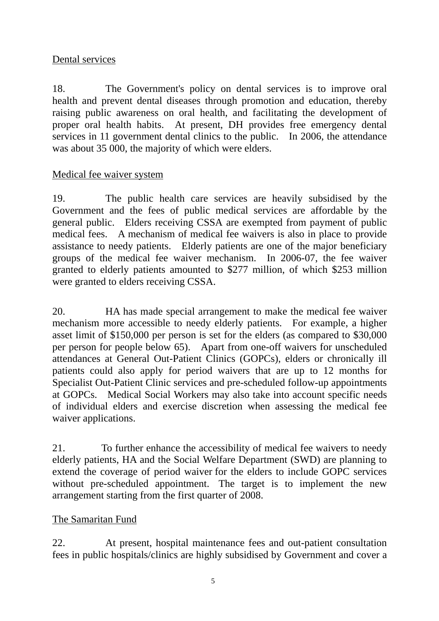## Dental services

18. The Government's policy on dental services is to improve oral health and prevent dental diseases through promotion and education, thereby raising public awareness on oral health, and facilitating the development of proper oral health habits. At present, DH provides free emergency dental services in 11 government dental clinics to the public. In 2006, the attendance was about 35 000, the majority of which were elders.

#### Medical fee waiver system

19. The public health care services are heavily subsidised by the Government and the fees of public medical services are affordable by the general public. Elders receiving CSSA are exempted from payment of public medical fees. A mechanism of medical fee waivers is also in place to provide assistance to needy patients. Elderly patients are one of the major beneficiary groups of the medical fee waiver mechanism. In 2006-07, the fee waiver granted to elderly patients amounted to \$277 million, of which \$253 million were granted to elders receiving CSSA.

20. HA has made special arrangement to make the medical fee waiver mechanism more accessible to needy elderly patients. For example, a higher asset limit of \$150,000 per person is set for the elders (as compared to \$30,000 per person for people below 65). Apart from one-off waivers for unscheduled attendances at General Out-Patient Clinics (GOPCs), elders or chronically ill patients could also apply for period waivers that are up to 12 months for Specialist Out-Patient Clinic services and pre-scheduled follow-up appointments at GOPCs. Medical Social Workers may also take into account specific needs of individual elders and exercise discretion when assessing the medical fee waiver applications.

21. To further enhance the accessibility of medical fee waivers to needy elderly patients, HA and the Social Welfare Department (SWD) are planning to extend the coverage of period waiver for the elders to include GOPC services without pre-scheduled appointment. The target is to implement the new arrangement starting from the first quarter of 2008.

## The Samaritan Fund

22. At present, hospital maintenance fees and out-patient consultation fees in public hospitals/clinics are highly subsidised by Government and cover a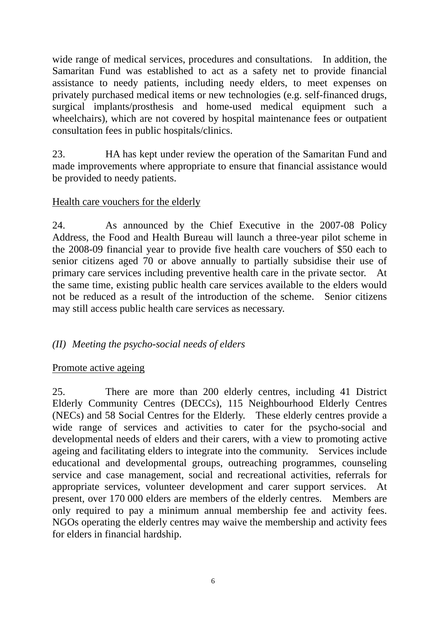wide range of medical services, procedures and consultations. In addition, the Samaritan Fund was established to act as a safety net to provide financial assistance to needy patients, including needy elders, to meet expenses on privately purchased medical items or new technologies (e.g. self-financed drugs, surgical implants/prosthesis and home-used medical equipment such a wheelchairs), which are not covered by hospital maintenance fees or outpatient consultation fees in public hospitals/clinics.

23. HA has kept under review the operation of the Samaritan Fund and made improvements where appropriate to ensure that financial assistance would be provided to needy patients.

## Health care vouchers for the elderly

24. As announced by the Chief Executive in the 2007-08 Policy Address, the Food and Health Bureau will launch a three-year pilot scheme in the 2008-09 financial year to provide five health care vouchers of \$50 each to senior citizens aged 70 or above annually to partially subsidise their use of primary care services including preventive health care in the private sector. At the same time, existing public health care services available to the elders would not be reduced as a result of the introduction of the scheme. Senior citizens may still access public health care services as necessary.

#### *(II) Meeting the psycho-social needs of elders*

#### Promote active ageing

25. There are more than 200 elderly centres, including 41 District Elderly Community Centres (DECCs), 115 Neighbourhood Elderly Centres (NECs) and 58 Social Centres for the Elderly. These elderly centres provide a wide range of services and activities to cater for the psycho-social and developmental needs of elders and their carers, with a view to promoting active ageing and facilitating elders to integrate into the community. Services include educational and developmental groups, outreaching programmes, counseling service and case management, social and recreational activities, referrals for appropriate services, volunteer development and carer support services. At present, over 170 000 elders are members of the elderly centres. Members are only required to pay a minimum annual membership fee and activity fees. NGOs operating the elderly centres may waive the membership and activity fees for elders in financial hardship.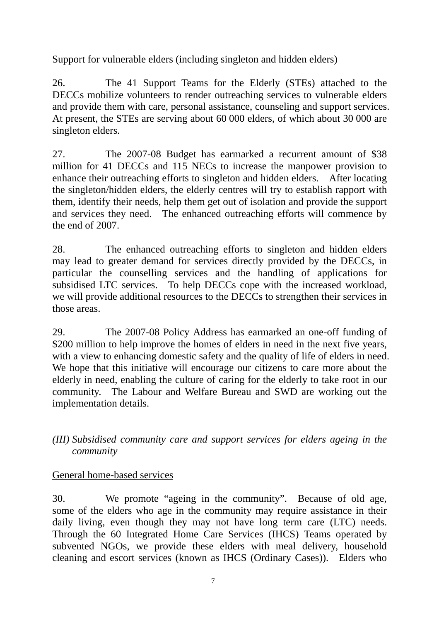Support for vulnerable elders (including singleton and hidden elders)

26. The 41 Support Teams for the Elderly (STEs) attached to the DECCs mobilize volunteers to render outreaching services to vulnerable elders and provide them with care, personal assistance, counseling and support services. At present, the STEs are serving about 60 000 elders, of which about 30 000 are singleton elders.

27. The 2007-08 Budget has earmarked a recurrent amount of \$38 million for 41 DECCs and 115 NECs to increase the manpower provision to enhance their outreaching efforts to singleton and hidden elders. After locating the singleton/hidden elders, the elderly centres will try to establish rapport with them, identify their needs, help them get out of isolation and provide the support and services they need. The enhanced outreaching efforts will commence by the end of 2007.

28. The enhanced outreaching efforts to singleton and hidden elders may lead to greater demand for services directly provided by the DECCs, in particular the counselling services and the handling of applications for subsidised LTC services. To help DECCs cope with the increased workload, we will provide additional resources to the DECCs to strengthen their services in those areas.

29. The 2007-08 Policy Address has earmarked an one-off funding of \$200 million to help improve the homes of elders in need in the next five years, with a view to enhancing domestic safety and the quality of life of elders in need. We hope that this initiative will encourage our citizens to care more about the elderly in need, enabling the culture of caring for the elderly to take root in our community. The Labour and Welfare Bureau and SWD are working out the implementation details.

*(III) Subsidised community care and support services for elders ageing in the community* 

# General home-based services

30. We promote "ageing in the community". Because of old age, some of the elders who age in the community may require assistance in their daily living, even though they may not have long term care (LTC) needs. Through the 60 Integrated Home Care Services (IHCS) Teams operated by subvented NGOs, we provide these elders with meal delivery, household cleaning and escort services (known as IHCS (Ordinary Cases)). Elders who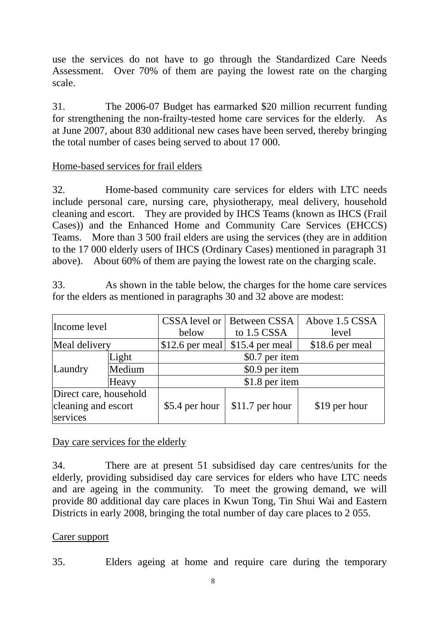use the services do not have to go through the Standardized Care Needs Assessment. Over 70% of them are paying the lowest rate on the charging scale.

31. The 2006-07 Budget has earmarked \$20 million recurrent funding for strengthening the non-frailty-tested home care services for the elderly. As at June 2007, about 830 additional new cases have been served, thereby bringing the total number of cases being served to about 17 000.

## Home-based services for frail elders

32. Home-based community care services for elders with LTC needs include personal care, nursing care, physiotherapy, meal delivery, household cleaning and escort. They are provided by IHCS Teams (known as IHCS (Frail Cases)) and the Enhanced Home and Community Care Services (EHCCS) Teams. More than 3 500 frail elders are using the services (they are in addition to the 17 000 elderly users of IHCS (Ordinary Cases) mentioned in paragraph 31 above). About 60% of them are paying the lowest rate on the charging scale.

33. As shown in the table below, the charges for the home care services for the elders as mentioned in paragraphs 30 and 32 above are modest:

| Income level           |        | below            | <b>CSSA</b> level or   Between CSSA<br>to 1.5 CSSA | Above 1.5 CSSA<br>level |
|------------------------|--------|------------------|----------------------------------------------------|-------------------------|
| Meal delivery          |        | $$12.6$ per meal | \$15.4 per meal                                    | \$18.6 per meal         |
| Laundry                | Light  | \$0.7 per item   |                                                    |                         |
|                        | Medium | \$0.9 per item   |                                                    |                         |
|                        | Heavy  | \$1.8 per item   |                                                    |                         |
| Direct care, household |        |                  |                                                    |                         |
| cleaning and escort    |        | \$5.4 per hour   | $$11.7$ per hour                                   | \$19 per hour           |
| services               |        |                  |                                                    |                         |

#### Day care services for the elderly

34. There are at present 51 subsidised day care centres/units for the elderly, providing subsidised day care services for elders who have LTC needs and are ageing in the community. To meet the growing demand, we will provide 80 additional day care places in Kwun Tong, Tin Shui Wai and Eastern Districts in early 2008, bringing the total number of day care places to 2 055.

#### Carer support

35. Elders ageing at home and require care during the temporary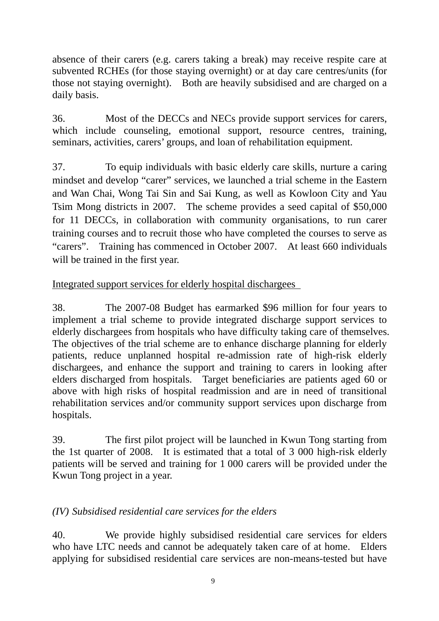absence of their carers (e.g. carers taking a break) may receive respite care at subvented RCHEs (for those staying overnight) or at day care centres/units (for those not staying overnight). Both are heavily subsidised and are charged on a daily basis.

36. Most of the DECCs and NECs provide support services for carers, which include counseling, emotional support, resource centres, training, seminars, activities, carers' groups, and loan of rehabilitation equipment.

37. To equip individuals with basic elderly care skills, nurture a caring mindset and develop "carer" services, we launched a trial scheme in the Eastern and Wan Chai, Wong Tai Sin and Sai Kung, as well as Kowloon City and Yau Tsim Mong districts in 2007. The scheme provides a seed capital of \$50,000 for 11 DECCs, in collaboration with community organisations, to run carer training courses and to recruit those who have completed the courses to serve as "carers". Training has commenced in October 2007. At least 660 individuals will be trained in the first year.

## Integrated support services for elderly hospital dischargees

38. The 2007-08 Budget has earmarked \$96 million for four years to implement a trial scheme to provide integrated discharge support services to elderly dischargees from hospitals who have difficulty taking care of themselves. The objectives of the trial scheme are to enhance discharge planning for elderly patients, reduce unplanned hospital re-admission rate of high-risk elderly dischargees, and enhance the support and training to carers in looking after elders discharged from hospitals. Target beneficiaries are patients aged 60 or above with high risks of hospital readmission and are in need of transitional rehabilitation services and/or community support services upon discharge from hospitals.

39. The first pilot project will be launched in Kwun Tong starting from the 1st quarter of 2008. It is estimated that a total of 3 000 high-risk elderly patients will be served and training for 1 000 carers will be provided under the Kwun Tong project in a year.

# *(IV) Subsidised residential care services for the elders*

40. We provide highly subsidised residential care services for elders who have LTC needs and cannot be adequately taken care of at home. Elders applying for subsidised residential care services are non-means-tested but have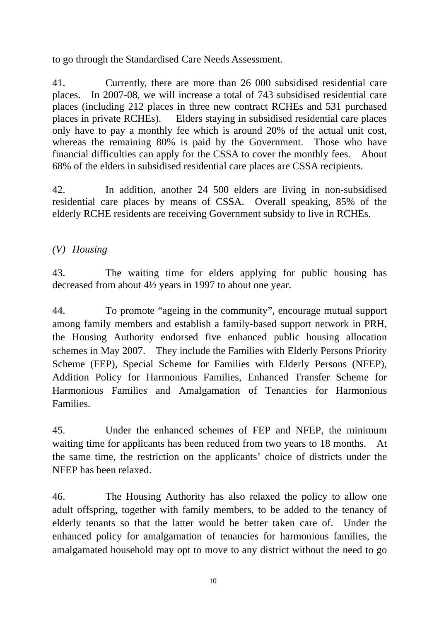to go through the Standardised Care Needs Assessment.

41. Currently, there are more than 26 000 subsidised residential care places. In 2007-08, we will increase a total of 743 subsidised residential care places (including 212 places in three new contract RCHEs and 531 purchased places in private RCHEs). Elders staying in subsidised residential care places only have to pay a monthly fee which is around 20% of the actual unit cost, whereas the remaining 80% is paid by the Government. Those who have financial difficulties can apply for the CSSA to cover the monthly fees. About 68% of the elders in subsidised residential care places are CSSA recipients.

42. In addition, another 24 500 elders are living in non-subsidised residential care places by means of CSSA. Overall speaking, 85% of the elderly RCHE residents are receiving Government subsidy to live in RCHEs.

## *(V) Housing*

43. The waiting time for elders applying for public housing has decreased from about 4½ years in 1997 to about one year.

44. To promote "ageing in the community", encourage mutual support among family members and establish a family-based support network in PRH, the Housing Authority endorsed five enhanced public housing allocation schemes in May 2007. They include the Families with Elderly Persons Priority Scheme (FEP), Special Scheme for Families with Elderly Persons (NFEP), Addition Policy for Harmonious Families, Enhanced Transfer Scheme for Harmonious Families and Amalgamation of Tenancies for Harmonious Families.

45. Under the enhanced schemes of FEP and NFEP, the minimum waiting time for applicants has been reduced from two years to 18 months. At the same time, the restriction on the applicants' choice of districts under the NFEP has been relaxed.

46. The Housing Authority has also relaxed the policy to allow one adult offspring, together with family members, to be added to the tenancy of elderly tenants so that the latter would be better taken care of. Under the enhanced policy for amalgamation of tenancies for harmonious families, the amalgamated household may opt to move to any district without the need to go